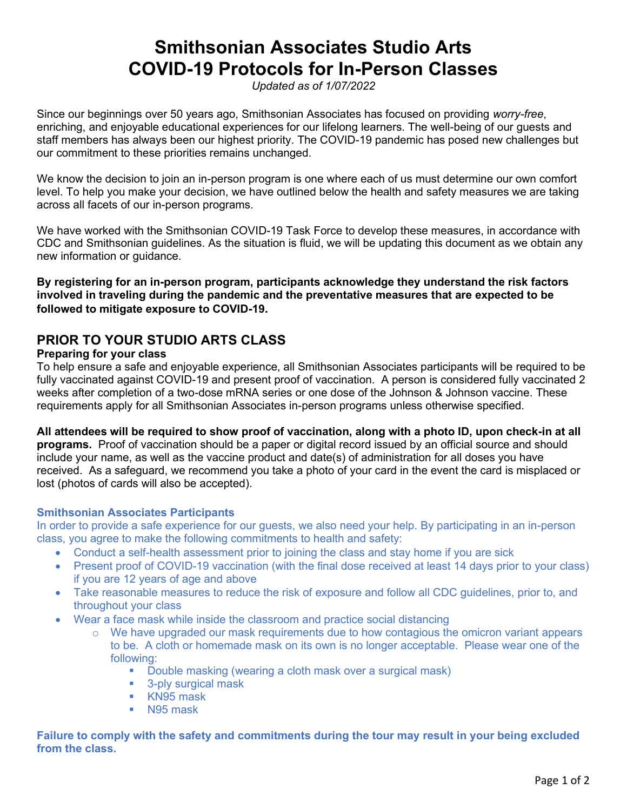# **Smithsonian Associates Studio Arts COVID-19 Protocols for In-Person Classes**

*Updated as of 1/07/2022*

Since our beginnings over 50 years ago, Smithsonian Associates has focused on providing *worry-free*, enriching, and enjoyable educational experiences for our lifelong learners. The well-being of our guests and staff members has always been our highest priority. The COVID-19 pandemic has posed new challenges but our commitment to these priorities remains unchanged.

We know the decision to join an in-person program is one where each of us must determine our own comfort level. To help you make your decision, we have outlined below the health and safety measures we are taking across all facets of our in-person programs.

We have worked with the Smithsonian COVID-19 Task Force to develop these measures, in accordance with CDC and Smithsonian guidelines. As the situation is fluid, we will be updating this document as we obtain any new information or guidance.

**By registering for an in-person program, participants acknowledge they understand the risk factors involved in traveling during the pandemic and the preventative measures that are expected to be followed to mitigate exposure to COVID-19.** 

## **PRIOR TO YOUR STUDIO ARTS CLASS**

#### **Preparing for your class**

To help ensure a safe and enjoyable experience, all Smithsonian Associates participants will be required to be fully vaccinated against COVID-19 and present proof of vaccination. A person is considered fully vaccinated 2 weeks after completion of a two-dose mRNA series or one dose of the Johnson & Johnson vaccine. These requirements apply for all Smithsonian Associates in-person programs unless otherwise specified.

#### **All attendees will be required to show proof of vaccination, along with a photo ID, upon check-in at all**

**programs.** Proof of vaccination should be a paper or digital record issued by an official source and should include your name, as well as the vaccine product and date(s) of administration for all doses you have received. As a safeguard, we recommend you take a photo of your card in the event the card is misplaced or lost (photos of cards will also be accepted).

#### **Smithsonian Associates Participants**

In order to provide a safe experience for our guests, we also need your help. By participating in an in-person class, you agree to make the following commitments to health and safety:

- Conduct a self-health assessment prior to joining the class and stay home if you are sick
- Present proof of COVID-19 vaccination (with the final dose received at least 14 days prior to your class) if you are 12 years of age and above
- Take reasonable measures to reduce the risk of exposure and follow all CDC guidelines, prior to, and throughout your class
- Wear a face mask while inside the classroom and practice social distancing
	- $\circ$  We have upgraded our mask requirements due to how contagious the omicron variant appears to be. A cloth or homemade mask on its own is no longer acceptable. Please wear one of the following:
		- Double masking (wearing a cloth mask over a surgical mask)
		- 3-ply surgical mask
		- KN95 mask
		- N95 mask

**Failure to comply with the safety and commitments during the tour may result in your being excluded from the class.**